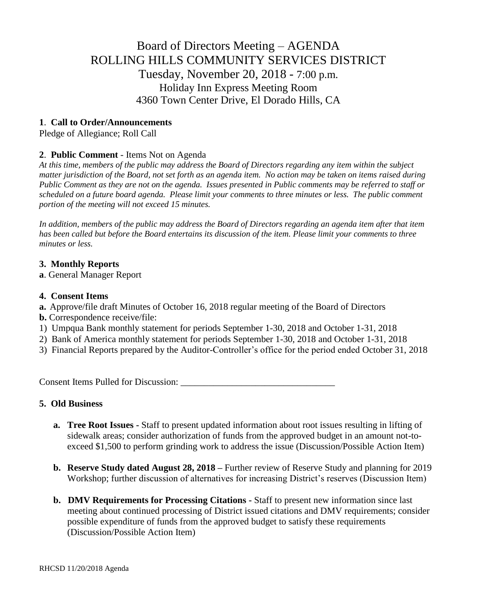# Board of Directors Meeting – AGENDA ROLLING HILLS COMMUNITY SERVICES DISTRICT Tuesday, November 20, 2018 - 7:00 p.m. Holiday Inn Express Meeting Room 4360 Town Center Drive, El Dorado Hills, CA

## **1**. **Call to Order/Announcements**

Pledge of Allegiance; Roll Call

## **2**. **Public Comment** - Items Not on Agenda

*At this time, members of the public may address the Board of Directors regarding any item within the subject matter jurisdiction of the Board, not set forth as an agenda item. No action may be taken on items raised during Public Comment as they are not on the agenda. Issues presented in Public comments may be referred to staff or scheduled on a future board agenda. Please limit your comments to three minutes or less. The public comment portion of the meeting will not exceed 15 minutes.*

*In addition, members of the public may address the Board of Directors regarding an agenda item after that item has been called but before the Board entertains its discussion of the item. Please limit your comments to three minutes or less.*

## **3. Monthly Reports**

**a**. General Manager Report

#### **4. Consent Items**

- **a.** Approve/file draft Minutes of October 16, 2018 regular meeting of the Board of Directors
- **b.** Correspondence receive/file:
- 1) Umpqua Bank monthly statement for periods September 1-30, 2018 and October 1-31, 2018
- 2) Bank of America monthly statement for periods September 1-30, 2018 and October 1-31, 2018
- 3) Financial Reports prepared by the Auditor-Controller's office for the period ended October 31, 2018

Consent Items Pulled for Discussion: \_\_\_\_\_\_\_\_\_\_\_\_\_\_\_\_\_\_\_\_\_\_\_\_\_\_\_\_\_\_\_\_\_

## **5. Old Business**

- **a. Tree Root Issues -** Staff to present updated information about root issues resulting in lifting of sidewalk areas; consider authorization of funds from the approved budget in an amount not-toexceed \$1,500 to perform grinding work to address the issue (Discussion/Possible Action Item)
- **b. Reserve Study dated August 28, 2018 –** Further review of Reserve Study and planning for 2019 Workshop; further discussion of alternatives for increasing District's reserves (Discussion Item)
- **b. DMV Requirements for Processing Citations -** Staff to present new information since last meeting about continued processing of District issued citations and DMV requirements; consider possible expenditure of funds from the approved budget to satisfy these requirements (Discussion/Possible Action Item)